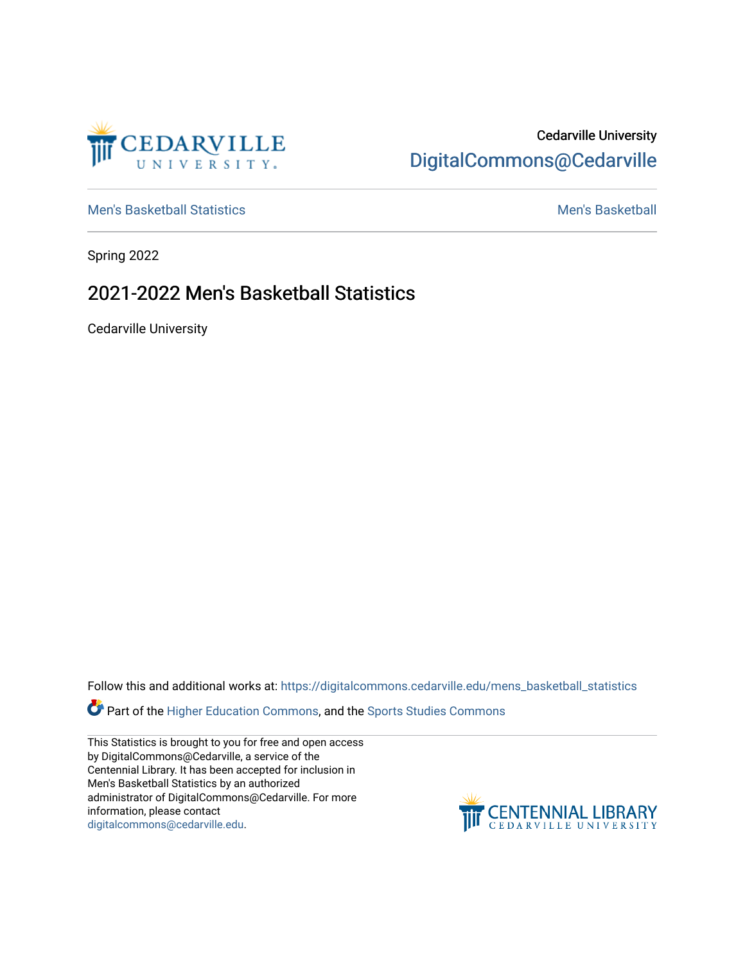

## Cedarville University [DigitalCommons@Cedarville](https://digitalcommons.cedarville.edu/)

[Men's Basketball Statistics](https://digitalcommons.cedarville.edu/mens_basketball_statistics) [Men's Basketball](https://digitalcommons.cedarville.edu/mens_basketball) 

Spring 2022

## 2021-2022 Men's Basketball Statistics

Cedarville University

Follow this and additional works at: [https://digitalcommons.cedarville.edu/mens\\_basketball\\_statistics](https://digitalcommons.cedarville.edu/mens_basketball_statistics?utm_source=digitalcommons.cedarville.edu%2Fmens_basketball_statistics%2F468&utm_medium=PDF&utm_campaign=PDFCoverPages) 

Part of the [Higher Education Commons,](https://network.bepress.com/hgg/discipline/1245?utm_source=digitalcommons.cedarville.edu%2Fmens_basketball_statistics%2F468&utm_medium=PDF&utm_campaign=PDFCoverPages) and the [Sports Studies Commons](https://network.bepress.com/hgg/discipline/1198?utm_source=digitalcommons.cedarville.edu%2Fmens_basketball_statistics%2F468&utm_medium=PDF&utm_campaign=PDFCoverPages) 

This Statistics is brought to you for free and open access by DigitalCommons@Cedarville, a service of the Centennial Library. It has been accepted for inclusion in Men's Basketball Statistics by an authorized administrator of DigitalCommons@Cedarville. For more information, please contact [digitalcommons@cedarville.edu](mailto:digitalcommons@cedarville.edu).